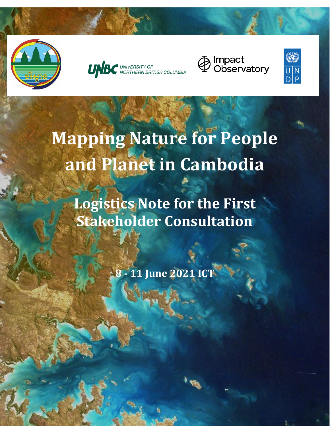







# **Mapping Nature for People and Planet in Cambodia**

**Logistics Note for the First Stakeholder Consultation**

**8 - 11 June 2021 ICT**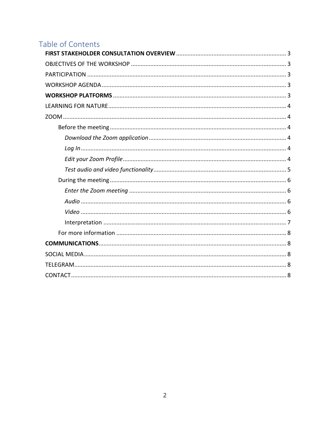# Table of Contents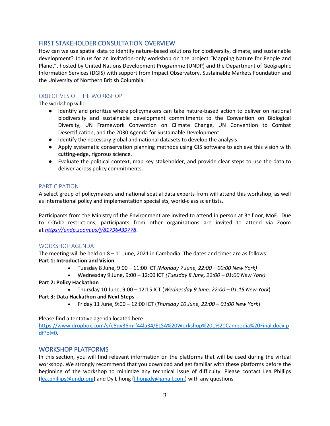# <span id="page-2-0"></span>FIRST STAKEHOLDER CONSULTATION OVERVIEW

How can we use spatial data to identify nature-based solutions for biodiversity, climate, and sustainable development? Join us for an invitation-only workshop on the project "Mapping Nature for People and Planet", hosted by United Nations Development Programme (UNDP) and the Department of Geographic Information Services (DGIS) with support from Impact Observatory, Sustainable Markets Foundation and the University of Northern British Columbia.

# <span id="page-2-1"></span>OBJECTIVES OF THE WORKSHOP

The workshop will:

- Identify and prioritize where policymakers can take nature-based action to deliver on national biodiversity and sustainable development commitments to the Convention on Biological Diversity, UN Framework Convention on Climate Change, UN Convention to Combat Desertification, and the 2030 Agenda for Sustainable Development.
- Identify the necessary global and national datasets to develop the analysis.
- Apply systematic conservation planning methods using GIS software to achieve this vision with cutting-edge, rigorous science.
- Evaluate the political context, map key stakeholder, and provide clear steps to use the data to deliver across policy commitments.

# <span id="page-2-2"></span>PARTICIPATION

A select group of policymakers and national spatial data experts from will attend this workshop, as well as international policy and implementation specialists, world-class scientists.

Participants from the Ministry of the Environment are invited to attend in person at  $3<sup>rd</sup>$  floor, MoE. Due to COVID restrictions, participants from other organizations are invited to attend via Zoom at *<https://undp.zoom.us/j/81796439778>*.

#### <span id="page-2-3"></span>WORKSHOP AGENDA

The meeting will be held on 8 – 11 June, 2021 in Cambodia. The dates and times are as follows: **Part 1: Introduction and Vision**

- Tuesday 8 June, 9:00 11:00 ICT *(Monday 7 June, 22:00 – 00:00 New York)*
- Wednesday 9 June, 9:00 12:00 ICT *(Tuesday 8 June, 22:00 – 01:00 New York)*
- **Part 2: Policy Hackathon**
	- Thursday 10 June, 9:00 12:15 ICT (*Wednesday 9 June, 22:00 – 01:15 New York*)

#### **Part 3: Data Hackathon and Next Steps**

• Friday 11 June, 9:00 – 12:00 ICT (*Thursday 10 June, 22:00 – 01:00 New York*)

Please find a tentative agenda located here:

[https://www.dropbox.com/s/e5qy36mrf44la34/ELSA%20Workshop%201%20Cambodia%20Final.docx.p](https://www.dropbox.com/s/e5qy36mrf44la34/ELSA%20Workshop%201%20Cambodia%20Final.docx.pdf?dl=0) [df?dl=0.](https://www.dropbox.com/s/e5qy36mrf44la34/ELSA%20Workshop%201%20Cambodia%20Final.docx.pdf?dl=0)

# <span id="page-2-4"></span>WORKSHOP PLATFORMS

In this section, you will find relevant information on the platforms that will be used during the virtual workshop. We strongly recommend that you download and get familiar with these platforms before the beginning of the workshop to minimize any technical issue of difficulty. Please contact Lea Phillips [\(lea.phillips@undp.org\)](mailto:lea.phillips@undp.org) and Dy Lihong [\(lihongdy@gmail.com\)](mailto:lihongdy@gmail.com) with any questions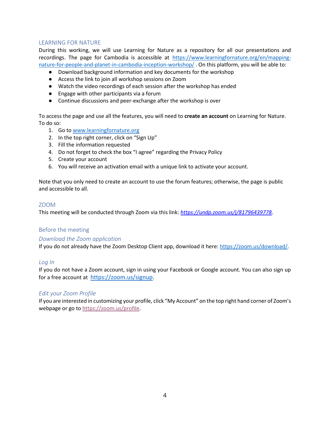#### <span id="page-3-0"></span>LEARNING FOR NATURE

During this working, we will use Learning for Nature as a repository for all our presentations and recordings. The page for Cambodia is accessible at [https://www.learningfornature.org/en/mapping](https://www.learningfornature.org/en/mapping-nature-for-people-and-planet-in-cambodia-inception-workshop/)[nature-for-people-and-planet-in-cambodia-inception-workshop/](https://www.learningfornature.org/en/mapping-nature-for-people-and-planet-in-cambodia-inception-workshop/) . On this platform, you will be able to:

- Download background information and key documents for the workshop
- Access the link to join all workshop sessions on Zoom
- Watch the video recordings of each session after the workshop has ended
- Engage with other participants via a forum
- Continue discussions and peer-exchange after the workshop is over

To access the page and use all the features, you will need to **create an account** on Learning for Nature. To do so:

- 1. Go to [www.learningfornature.org](http://www.learningfornature.org/)
- 2. In the top right corner, click on "Sign Up"
- 3. Fill the information requested
- 4. Do not forget to check the box "I agree" regarding the Privacy Policy
- 5. Create your account
- 6. You will receive an activation email with a unique link to activate your account.

Note that you only need to create an account to use the forum features; otherwise, the page is public and accessible to all.

#### <span id="page-3-1"></span>ZOOM

This meeting will be conducted through Zoom via this link: *<https://undp.zoom.us/j/81796439778>*.

#### <span id="page-3-2"></span>Before the meeting

#### <span id="page-3-3"></span>*Download the Zoom application*

If you do not already have the Zoom Desktop Client app, download it here: [https://zoom.us/download/.](https://zoom.us/download/)

#### <span id="page-3-4"></span>*Log In*

If you do not have a Zoom account, sign in using your Facebook or Google account. You can also sign up for a free account at <https://zoom.us/signup>.

#### <span id="page-3-5"></span>*Edit your Zoom Profile*

If you are interested in customizing your profile, click "My Account" on the top right hand corner of Zoom's webpage [o](https://zoom.us/profile)r go to [https://zoom.us/profile.](https://zoom.us/profile)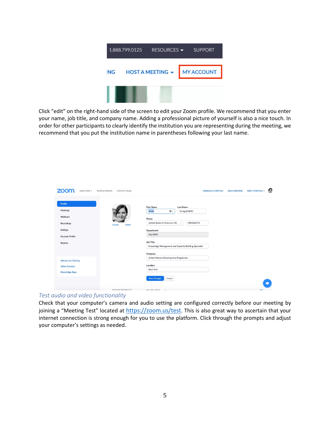

Click "edit" on the right-hand side of the screen to edit your Zoom profile. We recommend that you enter your name, job title, and company name. Adding a professional picture of yourself is also a nice touch. In order for other participants to clearly identify the institution you are representing during the meeting, we recommend that you put the institution name in parentheses following your last name.

| ZOO<br>SOLUTIONS -                                                                                    | PLANS & PRICING<br>CONTACT SALES | <b>SCHEDULE A MEETING</b><br><b>JOIN A MEETING</b>                                                                                                                                                                                                              | 圈<br><b>HOST A MEETING +</b> |
|-------------------------------------------------------------------------------------------------------|----------------------------------|-----------------------------------------------------------------------------------------------------------------------------------------------------------------------------------------------------------------------------------------------------------------|------------------------------|
| Profile<br>Meetings<br>Webinars<br><b>Recordings</b><br>Settings<br><b>Account Profile</b><br>Reports | <b>Delete</b><br>Change          | <b>First Name</b><br><b>Last Name</b><br>Annie<br>$\circledcirc$<br>Virnig (UNDP)<br>Phone<br>United States of America (+1)<br>7184836975<br>$\checkmark$<br>Department<br>HQ/BPPS<br><b>Job Title</b><br>Knowledge Management and Capacity Building Specialist |                              |
| <b>Attend Live Training</b><br><b>Video Tutorials</b><br><b>Knowledge Base</b>                        |                                  | Company<br>United Nations Development Programme<br>Location<br>New York<br><b>Save Changes</b><br>Cancel                                                                                                                                                        |                              |
|                                                                                                       | Personal Meeting ID              | $888.888.8040$ av                                                                                                                                                                                                                                               | <b>Calls</b>                 |

#### <span id="page-4-0"></span>*Test audio and video functionality*

Check that your computer's camera and audio setting are configured correctly before our meeting by joining a "Meeting Test" located at <https://zoom.us/test>. This is also great way to ascertain that your internet connection is strong enough for you to use the platform. Click through the prompts and adjust your computer's settings as needed.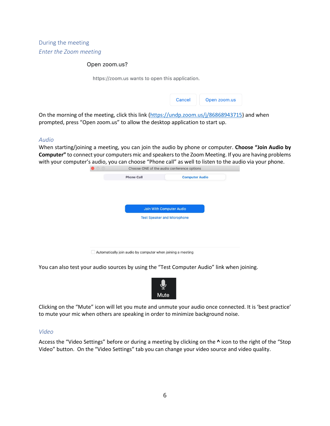<span id="page-5-1"></span><span id="page-5-0"></span>During the meeting *Enter the Zoom meeting*

#### Open zoom.us?

https://zoom.us wants to open this application.

| Cancel<br>Open zoom.us |  |
|------------------------|--|
|------------------------|--|

On the morning of the meeting, click this link [\(https://undp.zoom.us/j/86868943715\)](https://undp.zoom.us/j/86868943715) and when prompted, press "Open zoom.us" to allow the desktop application to start up.

#### <span id="page-5-2"></span>*Audio*

When starting/joining a meeting, you can join the audio by phone or computer. **Choose "Join Audio by Computer"** to connect your computers mic and speakers to the Zoom Meeting. If you are having problems with your computer's audio, you can choose "Phone call" as well to listen to the audio via your phone.

| <b>Join With Computer Audio</b> |                                    |  |  |  |
|---------------------------------|------------------------------------|--|--|--|
|                                 |                                    |  |  |  |
|                                 | <b>Test Speaker and Microphone</b> |  |  |  |
|                                 |                                    |  |  |  |
|                                 |                                    |  |  |  |
|                                 |                                    |  |  |  |
|                                 |                                    |  |  |  |
|                                 |                                    |  |  |  |

Automatically join audio by computer when joining a meeting

You can also test your audio sources by using the "Test Computer Audio" link when joining.



Clicking on the "Mute" icon will let you mute and unmute your audio once connected. It is 'best practice' to mute your mic when others are speaking in order to minimize background noise.

#### <span id="page-5-3"></span>*Video*

Access the "Video Settings" before or during a meeting by clicking on the **^** icon to the right of the "Stop Video" button. On the "Video Settings" tab you can change your video source and video quality.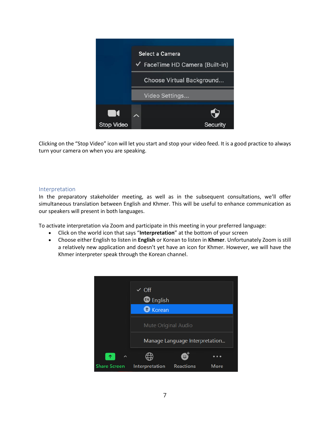

Clicking on the "Stop Video" icon will let you start and stop your video feed. It is a good practice to always turn your camera on when you are speaking.

#### <span id="page-6-0"></span>Interpretation

In the preparatory stakeholder meeting, as well as in the subsequent consultations, we'll offer simultaneous translation between English and Khmer. This will be useful to enhance communication as our speakers will present in both languages.

To activate interpretation via Zoom and participate in this meeting in your preferred language:

- Click on the world icon that says "**Interpretation**" at the bottom of your screen
- Choose either English to listen in **English** or Korean to listen in **Khmer**. Unfortunately Zoom is still a relatively new application and doesn't yet have an icon for Khmer. However, we will have the Khmer interpreter speak through the Korean channel.